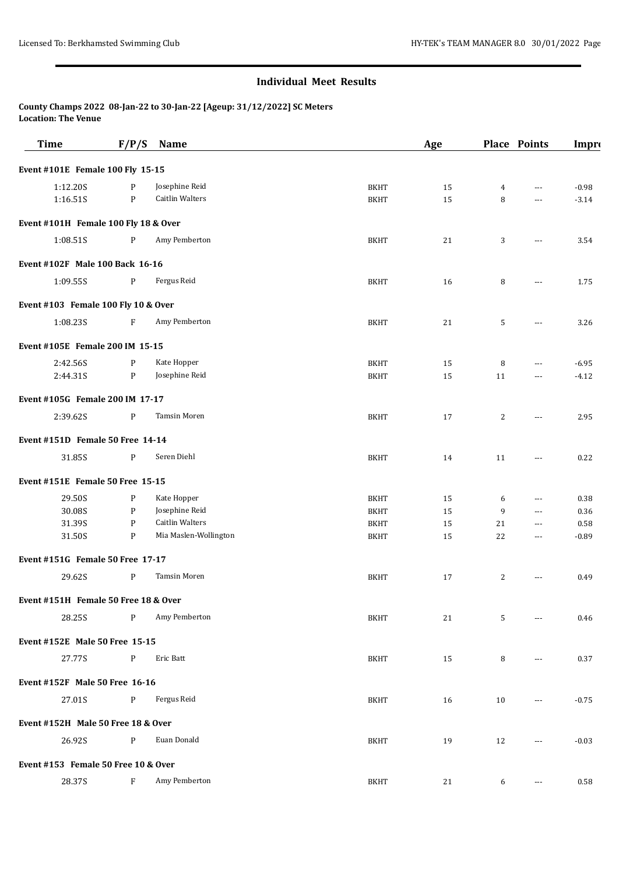**County Champs 2022 08-Jan-22 to 30-Jan-22 [Ageup: 31/12/2022] SC Meters Location: The Venue**

| <b>Time</b>                          | F/P/S | <b>Name</b>            |             | Age |                | <b>Place Points</b>  | Impro   |
|--------------------------------------|-------|------------------------|-------------|-----|----------------|----------------------|---------|
| Event #101E Female 100 Fly 15-15     |       |                        |             |     |                |                      |         |
| 1:12.20S                             | P     | Josephine Reid         | <b>BKHT</b> | 15  | $\overline{4}$ | $\cdots$             | $-0.98$ |
| 1:16.51S                             | P     | <b>Caitlin Walters</b> | <b>BKHT</b> | 15  | 8              | ---                  | $-3.14$ |
| Event #101H Female 100 Fly 18 & Over |       |                        |             |     |                |                      |         |
| 1:08.51S                             | P     | Amy Pemberton          | <b>BKHT</b> | 21  | 3              | $\cdots$             | 3.54    |
| Event #102F Male 100 Back 16-16      |       |                        |             |     |                |                      |         |
| 1:09.55S                             | P     | Fergus Reid            | <b>BKHT</b> | 16  | 8              | $\cdots$             | 1.75    |
| Event #103 Female 100 Fly 10 & Over  |       |                        |             |     |                |                      |         |
| 1:08.235                             | F     | Amy Pemberton          | <b>BKHT</b> | 21  | 5              | $\cdots$             | 3.26    |
| Event #105E Female 200 IM 15-15      |       |                        |             |     |                |                      |         |
| 2:42.56S                             | P     | Kate Hopper            | <b>BKHT</b> | 15  | 8              | $---$                | $-6.95$ |
| 2:44.31S                             | P     | Josephine Reid         | <b>BKHT</b> | 15  | 11             | $---$                | $-4.12$ |
| Event #105G Female 200 IM 17-17      |       |                        |             |     |                |                      |         |
| 2:39.62S                             | P     | Tamsin Moren           | <b>BKHT</b> | 17  | 2              | $\cdots$             | 2.95    |
| Event #151D Female 50 Free 14-14     |       |                        |             |     |                |                      |         |
| 31.85S                               | P     | Seren Diehl            | <b>BKHT</b> | 14  | 11             | $---$                | 0.22    |
| Event #151E Female 50 Free 15-15     |       |                        |             |     |                |                      |         |
| 29.50S                               | P     | Kate Hopper            | <b>BKHT</b> | 15  | 6              | ---                  | 0.38    |
| 30.08S                               | P     | Josephine Reid         | <b>BKHT</b> | 15  | 9              | $\cdots$             | 0.36    |
| 31.39S                               | P     | <b>Caitlin Walters</b> | <b>BKHT</b> | 15  | 21             | $\scriptstyle\cdots$ | 0.58    |
| 31.50S                               | P     | Mia Maslen-Wollington  | <b>BKHT</b> | 15  | 22             | $\cdots$             | $-0.89$ |
| Event #151G Female 50 Free 17-17     |       |                        |             |     |                |                      |         |
| 29.62S                               | P     | Tamsin Moren           | <b>BKHT</b> | 17  | 2              | $\cdots$             | 0.49    |
| Event #151H Female 50 Free 18 & Over |       |                        |             |     |                |                      |         |
| 28.25S                               | P     | Amy Pemberton          | <b>BKHT</b> | 21  | 5              | $---$                | 0.46    |
| Event #152E Male 50 Free 15-15       |       |                        |             |     |                |                      |         |
| 27.77S                               | P     | Eric Batt              | <b>BKHT</b> | 15  | 8              | $\cdots$             | 0.37    |
| Event #152F Male 50 Free 16-16       |       |                        |             |     |                |                      |         |
| 27.01S                               | P     | Fergus Reid            | <b>BKHT</b> | 16  | 10             | $\overline{a}$       | $-0.75$ |
| Event #152H Male 50 Free 18 & Over   |       |                        |             |     |                |                      |         |
| 26.92S                               | P     | Euan Donald            | <b>BKHT</b> | 19  | 12             | $\cdots$             | $-0.03$ |
| Event #153 Female 50 Free 10 & Over  |       |                        |             |     |                |                      |         |
| 28.37S                               | F     | Amy Pemberton          | <b>BKHT</b> | 21  | 6              | $\cdots$             | 0.58    |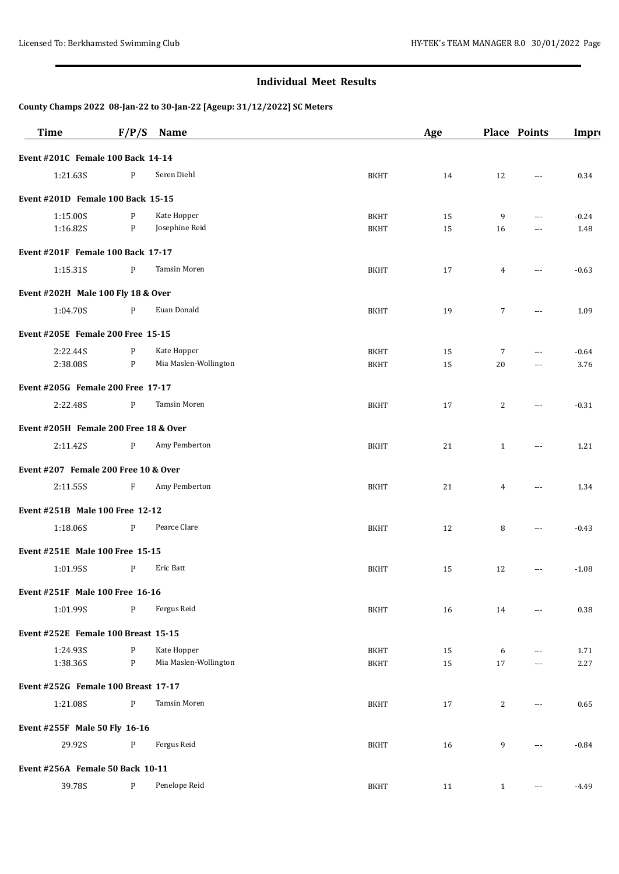| <b>Time</b>                              | F/P/S        | <b>Name</b>           |             | Age |                | <b>Place Points</b>  | Impro   |
|------------------------------------------|--------------|-----------------------|-------------|-----|----------------|----------------------|---------|
| Event #201C Female 100 Back 14-14        |              |                       |             |     |                |                      |         |
| 1:21.635                                 | $\mathbf{P}$ | Seren Diehl           | <b>BKHT</b> | 14  | 12             | $- - -$              | 0.34    |
| Event #201D Female 100 Back 15-15        |              |                       |             |     |                |                      |         |
| 1:15.00S                                 | P            | Kate Hopper           | <b>BKHT</b> | 15  | 9              | $\cdots$             | $-0.24$ |
| 1:16.82S                                 | P            | Josephine Reid        | <b>BKHT</b> | 15  | 16             | $---$                | 1.48    |
| Event #201F Female 100 Back 17-17        |              |                       |             |     |                |                      |         |
| 1:15.31S                                 | P            | Tamsin Moren          | <b>BKHT</b> | 17  | 4              | $---$                | $-0.63$ |
| Event #202H Male 100 Fly 18 & Over       |              |                       |             |     |                |                      |         |
| 1:04.70S                                 | P            | Euan Donald           | <b>BKHT</b> | 19  | 7              | $---$                | 1.09    |
| Event #205E Female 200 Free 15-15        |              |                       |             |     |                |                      |         |
| 2:22.44S                                 | P            | Kate Hopper           | <b>BKHT</b> | 15  | 7              | $\cdots$             | $-0.64$ |
| 2:38.08S                                 | P            | Mia Maslen-Wollington | <b>BKHT</b> | 15  | 20             | $\cdots$             | 3.76    |
| <b>Event #205G Female 200 Free 17-17</b> |              |                       |             |     |                |                      |         |
| 2:22.48S                                 | P            | Tamsin Moren          | <b>BKHT</b> | 17  | 2              | $\cdots$             | $-0.31$ |
| Event #205H Female 200 Free 18 & Over    |              |                       |             |     |                |                      |         |
| 2:11.42S                                 | $\mathbf{P}$ | Amy Pemberton         | <b>BKHT</b> | 21  | $\mathbf{1}$   | $\cdots$             | 1.21    |
| Event #207 Female 200 Free 10 & Over     |              |                       |             |     |                |                      |         |
| 2:11.55S                                 | F            | Amy Pemberton         | <b>BKHT</b> | 21  | $\overline{4}$ | $---$                | 1.34    |
| Event #251B Male 100 Free 12-12          |              |                       |             |     |                |                      |         |
| 1:18.06S                                 | $\mathbf{P}$ | Pearce Clare          | <b>BKHT</b> | 12  | 8              | $\cdots$             | $-0.43$ |
| Event #251E Male 100 Free 15-15          |              |                       |             |     |                |                      |         |
| 1:01.95S                                 | P            | Eric Batt             | <b>BKHT</b> | 15  | 12             | $\cdots$             | $-1.08$ |
| Event #251F Male 100 Free 16-16          |              |                       |             |     |                |                      |         |
| 1:01.99S                                 | P            | Fergus Reid           | <b>BKHT</b> | 16  | 14             | $---$                | 0.38    |
| Event #252E Female 100 Breast 15-15      |              |                       |             |     |                |                      |         |
| 1:24.93S                                 | $\mathbf{P}$ | Kate Hopper           | <b>BKHT</b> | 15  | 6              | ---                  | 1.71    |
| 1:38.36S                                 | $\mathbf{P}$ | Mia Maslen-Wollington | <b>BKHT</b> | 15  | 17             | ---                  | 2.27    |
| Event #252G Female 100 Breast 17-17      |              |                       |             |     |                |                      |         |
| 1:21.08S                                 | $\mathbf{P}$ | <b>Tamsin Moren</b>   | <b>BKHT</b> | 17  | 2              | $---$                | 0.65    |
| Event #255F Male 50 Fly 16-16            |              |                       |             |     |                |                      |         |
| 29.92S                                   | P            | Fergus Reid           | <b>BKHT</b> | 16  | 9              | $---$                | $-0.84$ |
| Event #256A Female 50 Back 10-11         |              |                       |             |     |                |                      |         |
| 39.78S                                   | P            | Penelope Reid         | <b>BKHT</b> | 11  | $\mathbf{1}$   | $\sim$ $\sim$ $\sim$ | $-4.49$ |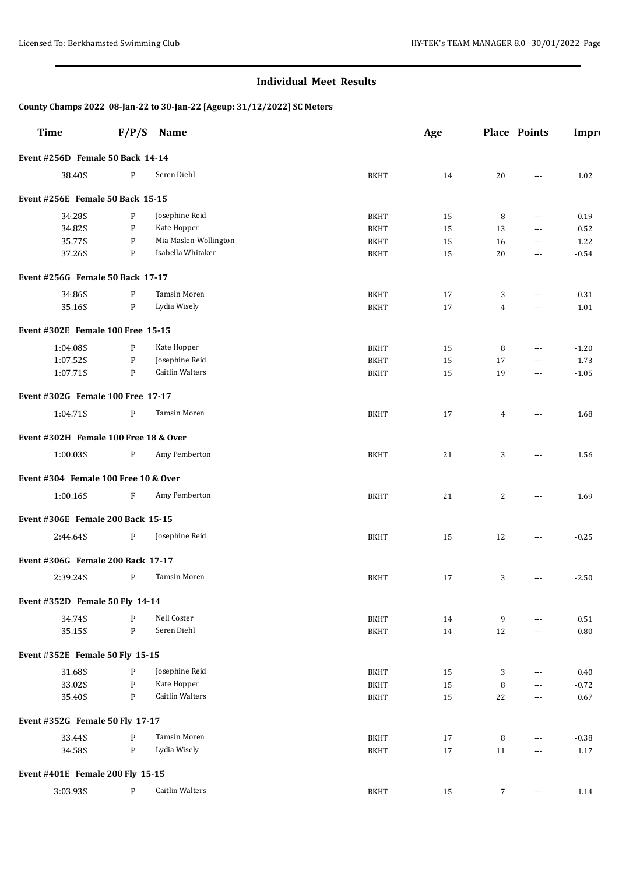| <b>Time</b>                           | F/P/S        | Name                   |             | Age    |                | <b>Place Points</b>  | Impro    |
|---------------------------------------|--------------|------------------------|-------------|--------|----------------|----------------------|----------|
| Event #256D Female 50 Back 14-14      |              |                        |             |        |                |                      |          |
| 38.40S                                | P            | Seren Diehl            | <b>BKHT</b> | 14     | 20             | $---$                | 1.02     |
| Event #256E Female 50 Back 15-15      |              |                        |             |        |                |                      |          |
| 34.28S                                | P            | Josephine Reid         | <b>BKHT</b> | 15     | 8              | $---$                | $-0.19$  |
| 34.82S                                | P            | Kate Hopper            | <b>BKHT</b> | 15     | 13             | $\cdots$             | 0.52     |
| 35.77S                                | P            | Mia Maslen-Wollington  | <b>BKHT</b> | 15     | 16             | $\cdots$             | $-1.22$  |
| 37.26S                                | P            | Isabella Whitaker      | <b>BKHT</b> | 15     | 20             | $\cdots$             | $-0.54$  |
| Event #256G Female 50 Back 17-17      |              |                        |             |        |                |                      |          |
| 34.86S                                | P            | Tamsin Moren           | <b>BKHT</b> | 17     | 3              | $---$                | $-0.31$  |
| 35.16S                                | P            | Lydia Wisely           | <b>BKHT</b> | 17     | $\overline{4}$ | ---                  | 1.01     |
| Event #302E Female 100 Free 15-15     |              |                        |             |        |                |                      |          |
| 1:04.08S                              | P            | Kate Hopper            | <b>BKHT</b> | 15     | 8              | $\cdots$             | $-1.20$  |
| 1:07.52S                              | $\mathbf{P}$ | Josephine Reid         | <b>BKHT</b> | 15     | 17             | $\cdots$             | 1.73     |
| 1:07.71S                              | P            | <b>Caitlin Walters</b> | <b>BKHT</b> | 15     | 19             | $\cdots$             | $-1.05$  |
| Event #302G Female 100 Free 17-17     |              |                        |             |        |                |                      |          |
| 1:04.71S                              | P            | Tamsin Moren           | <b>BKHT</b> | 17     | 4              | ---                  | 1.68     |
| Event #302H Female 100 Free 18 & Over |              |                        |             |        |                |                      |          |
| 1:00.03S                              | P            | Amy Pemberton          | <b>BKHT</b> | 21     | 3              | $\cdots$             | 1.56     |
| Event #304 Female 100 Free 10 & Over  |              |                        |             |        |                |                      |          |
| 1:00.16S                              | F            | Amy Pemberton          | <b>BKHT</b> | 21     | 2              | ---                  | 1.69     |
| Event #306E Female 200 Back 15-15     |              |                        |             |        |                |                      |          |
| 2:44.64S                              | P            | Josephine Reid         | <b>BKHT</b> | 15     | 12             | $\overline{a}$       | $-0.25$  |
| Event #306G Female 200 Back 17-17     |              |                        |             |        |                |                      |          |
| 2:39.24S                              | P            | <b>Tamsin Moren</b>    | <b>BKHT</b> | 17     | 3              | $\scriptstyle\cdots$ | $-2.50$  |
| Event #352D Female 50 Fly 14-14       |              |                        |             |        |                |                      |          |
| 34.74S                                | P            | Nell Coster            | <b>BKHT</b> | 14     | 9              | ---                  | $0.51\,$ |
| 35.15S                                | $\mathbf{P}$ | Seren Diehl            | <b>BKHT</b> | $14\,$ | 12             | $---$                | $-0.80$  |
| Event #352E Female 50 Fly 15-15       |              |                        |             |        |                |                      |          |
| 31.68S                                | P            | Josephine Reid         | <b>BKHT</b> | 15     | 3              | $\cdots$             | 0.40     |
| 33.02S                                | P            | Kate Hopper            | <b>BKHT</b> | 15     | 8              | $\cdots$             | $-0.72$  |
| 35.40S                                | P            | <b>Caitlin Walters</b> | <b>BKHT</b> | 15     | 22             | $\scriptstyle\cdots$ | 0.67     |
| Event #352G Female 50 Fly 17-17       |              |                        |             |        |                |                      |          |
| 33.44S                                | P            | Tamsin Moren           | <b>BKHT</b> | 17     | 8              | ---                  | $-0.38$  |
| 34.58S                                | ${\bf P}$    | Lydia Wisely           | <b>BKHT</b> | 17     | 11             | ---                  | 1.17     |
| Event #401E Female 200 Fly 15-15      |              |                        |             |        |                |                      |          |
| 3:03.93S                              | $\mathbf{P}$ | Caitlin Walters        | <b>BKHT</b> | 15     | 7              | $\scriptstyle\cdots$ | $-1.14$  |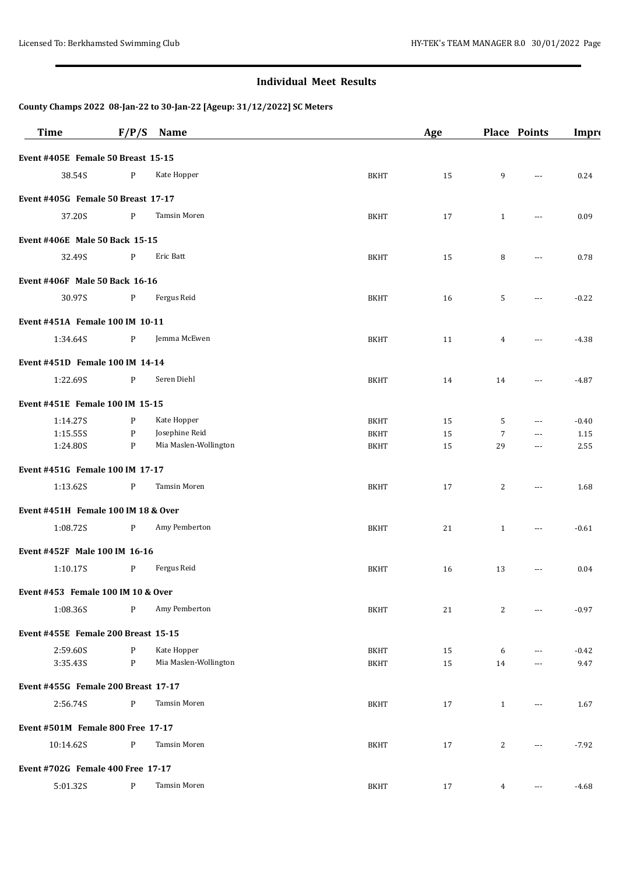| <b>Time</b>                         | F/P/S        | Name                  |             | Age |                | <b>Place Points</b> | Impro   |
|-------------------------------------|--------------|-----------------------|-------------|-----|----------------|---------------------|---------|
| Event #405E Female 50 Breast 15-15  |              |                       |             |     |                |                     |         |
| 38.54S                              | $\mathbf{P}$ | Kate Hopper           | <b>BKHT</b> | 15  | 9              | $\overline{a}$      | 0.24    |
| Event #405G Female 50 Breast 17-17  |              |                       |             |     |                |                     |         |
| 37.20S                              | $\mathbf{P}$ | Tamsin Moren          | <b>BKHT</b> | 17  | $\mathbf{1}$   | $\cdots$            | 0.09    |
| Event #406E Male 50 Back 15-15      |              |                       |             |     |                |                     |         |
| 32.49S                              | P            | Eric Batt             | <b>BKHT</b> | 15  | 8              | $---$               | 0.78    |
| Event #406F Male 50 Back 16-16      |              |                       |             |     |                |                     |         |
| 30.97S                              | $\mathbf{P}$ | Fergus Reid           | <b>BKHT</b> | 16  | 5              | $---$               | $-0.22$ |
| Event #451A Female 100 IM 10-11     |              |                       |             |     |                |                     |         |
| 1:34.64S                            | P            | Jemma McEwen          | <b>BKHT</b> | 11  | $\overline{4}$ | $\cdots$            | $-4.38$ |
| Event #451D Female 100 IM 14-14     |              |                       |             |     |                |                     |         |
| 1:22.69S                            | P            | Seren Diehl           | <b>BKHT</b> | 14  | 14             | $\cdots$            | $-4.87$ |
| Event #451E Female 100 IM 15-15     |              |                       |             |     |                |                     |         |
| 1:14.27S                            | P            | Kate Hopper           | <b>BKHT</b> | 15  | 5              | $\cdots$            | $-0.40$ |
| 1:15.55S                            | P            | Josephine Reid        | <b>BKHT</b> | 15  | $\overline{7}$ | $\cdots$            | 1.15    |
| 1:24.80S                            | P            | Mia Maslen-Wollington | <b>BKHT</b> | 15  | 29             | $\cdots$            | 2.55    |
| Event #451G Female 100 IM 17-17     |              |                       |             |     |                |                     |         |
| 1:13.62S                            | P            | Tamsin Moren          | <b>BKHT</b> | 17  | 2              | ---                 | 1.68    |
| Event #451H Female 100 IM 18 & Over |              |                       |             |     |                |                     |         |
| 1:08.72S                            | P            | Amy Pemberton         | <b>BKHT</b> | 21  | $\mathbf{1}$   | $\cdots$            | $-0.61$ |
| Event #452F Male 100 IM 16-16       |              |                       |             |     |                |                     |         |
| 1:10.17S                            | P            | Fergus Reid           | <b>BKHT</b> | 16  | 13             | $---$               | 0.04    |
| Event #453 Female 100 IM 10 & Over  |              |                       |             |     |                |                     |         |
| 1:08.36S                            | P            | Amy Pemberton         | <b>BKHT</b> | 21  | 2              |                     | $-0.97$ |
| Event #455E Female 200 Breast 15-15 |              |                       |             |     |                |                     |         |
| 2:59.60S                            | P            | Kate Hopper           | <b>BKHT</b> | 15  | 6              | $\cdots$            | $-0.42$ |
| 3:35.43S                            | P            | Mia Maslen-Wollington | <b>BKHT</b> | 15  | 14             | $\cdots$            | 9.47    |
| Event #455G Female 200 Breast 17-17 |              |                       |             |     |                |                     |         |
| 2:56.74S                            | $\mathbf{P}$ | <b>Tamsin Moren</b>   | <b>BKHT</b> | 17  | $\mathbf{1}$   | $\cdots$            | 1.67    |
| Event #501M Female 800 Free 17-17   |              |                       |             |     |                |                     |         |
| 10:14.62S                           | P            | Tamsin Moren          | <b>BKHT</b> | 17  | 2              | $\cdots$            | $-7.92$ |
| Event #702G Female 400 Free 17-17   |              |                       |             |     |                |                     |         |
| 5:01.32S                            | P            | Tamsin Moren          | <b>BKHT</b> | 17  | $\overline{4}$ | ---                 | $-4.68$ |